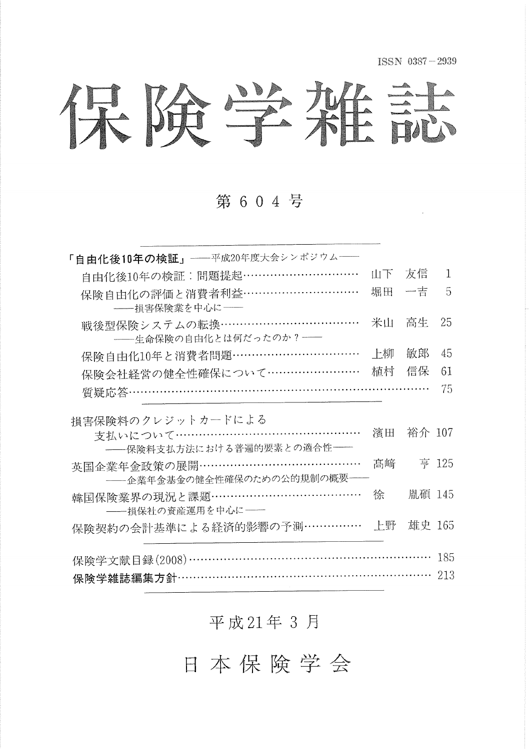ISSN 0387-2939

保険学雑誌

第 6 0 4 号

| 「自由化後10年の検証」––平成20年度大会シンポジウム––     |    |        |       |
|------------------------------------|----|--------|-------|
| 自由化後10年の検証:問題提起…………………………          | 山下 | 友信     | 1     |
| 保険自由化の評価と消費者利益…………………………           | 堀田 | 一吉     | 5     |
| -- 損害保険業を中心に ––                    |    |        |       |
| 戦後型保険システムの転換………………………………           | 米山 | 高生     | 25    |
| -- 生命保険の自由化とは何だったのか? -             |    |        |       |
| 保険自由化10年と消費者問題……………………………          | 上柳 | 敏郎     | 45    |
| 保険会社経営の健全性確保について……………………           | 植村 | 信保     | 61    |
| 質疑応答……………………………………………………………………     |    |        | 75    |
| 損害保険料のクレジットカードによる                  |    |        |       |
| 支払いについて…………………………………………            | 濱田 | 裕介 107 |       |
| -- 保険料支払方法における普遍的要素との適合性 ––        |    |        |       |
| 英国企業年金政策の展開……………………………………          | 髙﨑 |        | 亨 125 |
| -- 企業年金基金の健全性確保のための公的規制の概要 --      |    |        |       |
| 韓国保険業界の現況と課題………………………………           | 徐  | 胤碩 145 |       |
| -- 損保社の資産運用を中心に––                  |    |        |       |
| 保険契約の会計基準による経済的影響の予測……………          | 上野 | 雄史 165 |       |
| 保険学文献目録(2008)……………………………………………………… |    |        | 185   |
| 保険学雑誌編集方針………………………………………………………     |    |        | 213   |
|                                    |    |        |       |

平成21年3月

日本保険学会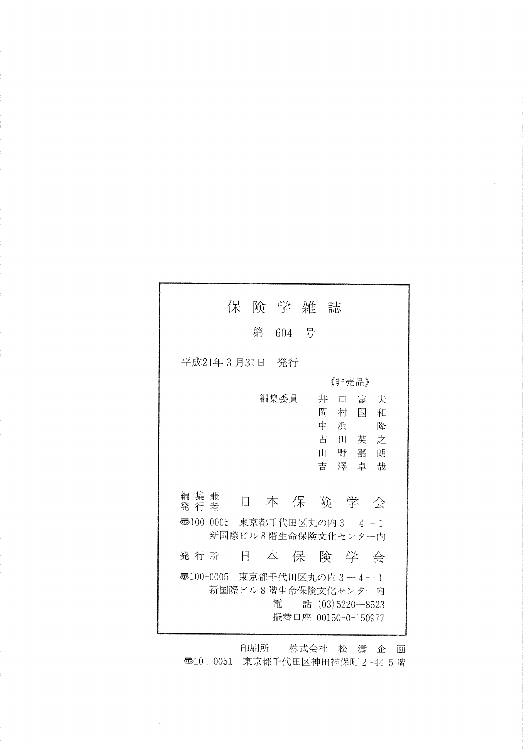|                                                 | 保 険 学 雑 誌          |         |  |                                     |                                                 |        |
|-------------------------------------------------|--------------------|---------|--|-------------------------------------|-------------------------------------------------|--------|
|                                                 |                    | 第 604 号 |  |                                     |                                                 |        |
| 平成21年3月31日 発行                                   |                    |         |  |                                     |                                                 |        |
|                                                 |                    |         |  |                                     | 《非壳品》                                           |        |
| 編 集 兼<br>発行者                                    | E                  | 編集委員    |  | 井<br>П<br>岡<br>中<br>浜<br>古<br>ili - | 富夫<br>村<br>围<br>田英之<br>野嘉朗<br>吉澤卓哉<br>本 保 険 学 会 | 和<br>降 |
|                                                 |                    |         |  |                                     |                                                 |        |
| ѿ100-0005 東京都千代田区丸の内3-4-1<br>新国際ビル8階生命保険文化センター内 |                    |         |  |                                     |                                                 |        |
| 発行所                                             | Η                  |         |  |                                     | 本保険学会                                           |        |
| ● 100-0005 東京都千代田区丸の内 3 − 4 − 1                 | 新国際ビル8階生命保険文化センター内 | 雷       |  |                                     | 話 (03)5220-8523<br>振替口座 00150-0-150977          |        |

印刷所 株式会社 松 濤 企 画 **5**101-0051 東京都千代田区神田神保町 2-44 5階